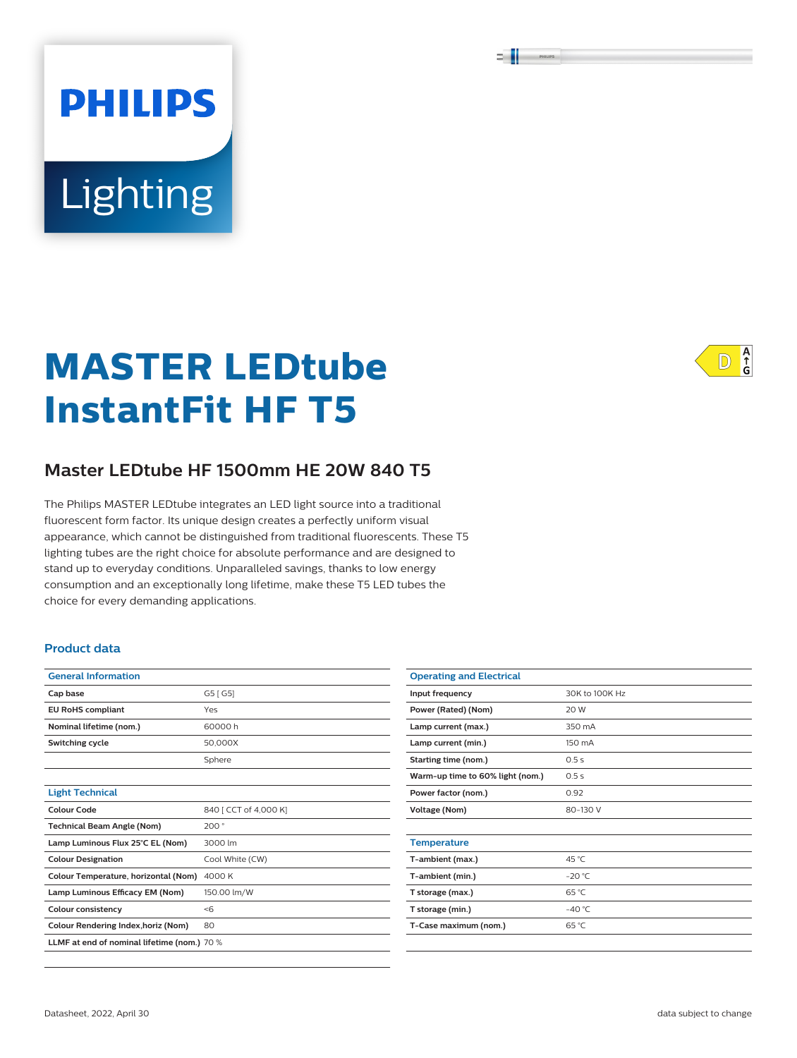# **PHILIPS** Lighting

# **MASTER LEDtube InstantFit HF T5**

# **Master LEDtube HF 1500mm HE 20W 840 T5**

The Philips MASTER LEDtube integrates an LED light source into a traditional fluorescent form factor. Its unique design creates a perfectly uniform visual appearance, which cannot be distinguished from traditional fluorescents. These T5 lighting tubes are the right choice for absolute performance and are designed to stand up to everyday conditions. Unparalleled savings, thanks to low energy consumption and an exceptionally long lifetime, make these T5 LED tubes the choice for every demanding applications.

#### **Product data**

| <b>General Information</b>                  |                       |  |  |
|---------------------------------------------|-----------------------|--|--|
| Cap base                                    | G5 [ G5]              |  |  |
| <b>EU RoHS compliant</b>                    | Yes                   |  |  |
| Nominal lifetime (nom.)                     | 60000h                |  |  |
| Switching cycle                             | 50.000X               |  |  |
|                                             | Sphere                |  |  |
|                                             |                       |  |  |
| <b>Light Technical</b>                      |                       |  |  |
| Colour Code                                 | 840 [ CCT of 4,000 K] |  |  |
| <b>Technical Beam Angle (Nom)</b>           | 200°                  |  |  |
| Lamp Luminous Flux 25°C EL (Nom)            | 3000 lm               |  |  |
| <b>Colour Designation</b>                   | Cool White (CW)       |  |  |
| Colour Temperature, horizontal (Nom)        | 4000 K                |  |  |
| Lamp Luminous Efficacy EM (Nom)             | 150.00 lm/W           |  |  |
| <b>Colour consistency</b>                   | < 6                   |  |  |
| Colour Rendering Index, horiz (Nom)         | 80                    |  |  |
| LLMF at end of nominal lifetime (nom.) 70 % |                       |  |  |

| <b>Operating and Electrical</b>  |                 |  |  |  |
|----------------------------------|-----------------|--|--|--|
| Input frequency                  | 30K to 100K Hz  |  |  |  |
| Power (Rated) (Nom)              | 20 W            |  |  |  |
| Lamp current (max.)              | 350 mA          |  |  |  |
| Lamp current (min.)              | 150 mA          |  |  |  |
| Starting time (nom.)             | 0.5s            |  |  |  |
| Warm-up time to 60% light (nom.) | 0.5s            |  |  |  |
| Power factor (nom.)              | 0.92            |  |  |  |
| <b>Voltage (Nom)</b>             | 80-130 V        |  |  |  |
|                                  |                 |  |  |  |
| <b>Temperature</b>               |                 |  |  |  |
| T-ambient (max.)                 | 45 °C           |  |  |  |
| T-ambient (min.)                 | $-20 °C$        |  |  |  |
| T storage (max.)                 | 65 °C           |  |  |  |
| T storage (min.)                 | $-40^{\circ}$ C |  |  |  |
| T-Case maximum (nom.)            | 65 °C           |  |  |  |
|                                  |                 |  |  |  |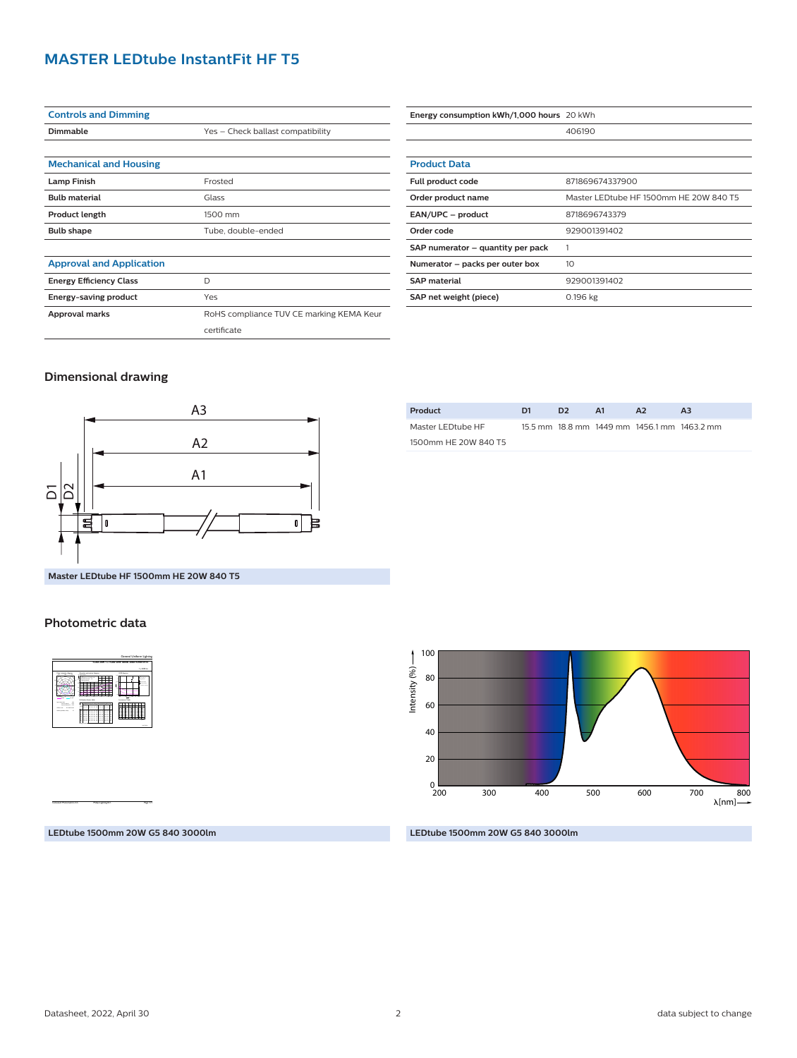# **MASTER LEDtube InstantFit HF T5**

| <b>Controls and Dimming</b>     |                                          |  |  |  |
|---------------------------------|------------------------------------------|--|--|--|
| Dimmable                        | Yes - Check ballast compatibility        |  |  |  |
|                                 |                                          |  |  |  |
| <b>Mechanical and Housing</b>   |                                          |  |  |  |
| <b>Lamp Finish</b>              | Frosted                                  |  |  |  |
| <b>Bulb material</b>            | Glass                                    |  |  |  |
| <b>Product length</b>           | 1500 mm                                  |  |  |  |
| <b>Bulb shape</b>               | Tube, double-ended                       |  |  |  |
|                                 |                                          |  |  |  |
| <b>Approval and Application</b> |                                          |  |  |  |
| <b>Energy Efficiency Class</b>  | D                                        |  |  |  |
| Energy-saving product           | Yes                                      |  |  |  |
| Approval marks                  | RoHS compliance TUV CE marking KEMA Keur |  |  |  |
|                                 | certificate                              |  |  |  |

| Energy consumption kWh/1,000 hours 20 kWh |                                        |  |  |
|-------------------------------------------|----------------------------------------|--|--|
|                                           | 406190                                 |  |  |
|                                           |                                        |  |  |
| <b>Product Data</b>                       |                                        |  |  |
| Full product code                         | 871869674337900                        |  |  |
| Order product name                        | Master LEDtube HF 1500mm HE 20W 840 T5 |  |  |
| EAN/UPC - product                         | 8718696743379                          |  |  |
| Order code                                | 929001391402                           |  |  |
| SAP numerator – quantity per pack         |                                        |  |  |
| Numerator - packs per outer box           | 10                                     |  |  |
| <b>SAP material</b>                       | 929001391402                           |  |  |
| SAP net weight (piece)                    | $0.196$ kg                             |  |  |

#### **Dimensional drawing**



| D1 | D <sub>2</sub> | A1 | A <sub>2</sub> | A3                                          |
|----|----------------|----|----------------|---------------------------------------------|
|    |                |    |                |                                             |
|    |                |    |                |                                             |
|    |                |    |                | 15.5 mm 18.8 mm 1449 mm 1456.1 mm 1463.2 mm |

**Master LEDtube HF 1500mm HE 20W 840 T5**

#### **Photometric data**



CalcuLuX Photometrics 4.5 Philips Lighting B.V. Page: 1/1

100 Intensity (%) -Intensity (%) 80 60 40 20  $_{200}^0$ 700 800 200 300 400 500 600  $\lambda$ [nm]-

**LEDtube 1500mm 20W G5 840 3000lm**

#### **LEDtube 1500mm 20W G5 840 3000lm**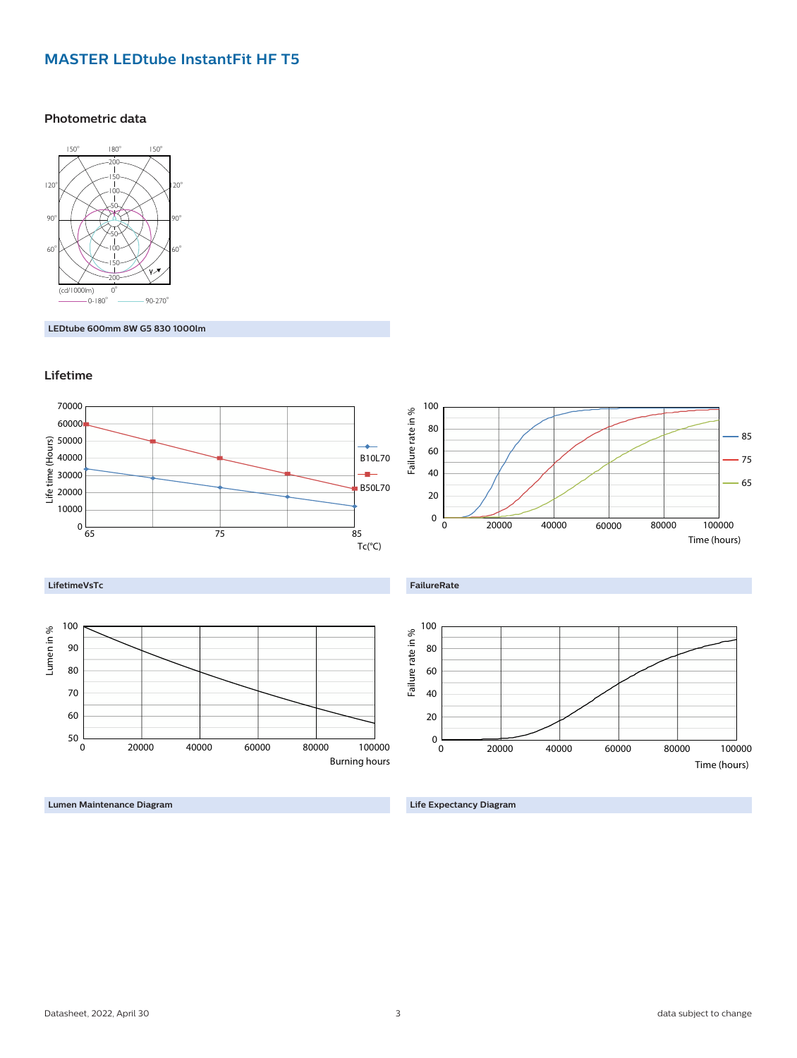# **MASTER LEDtube InstantFit HF T5**

#### **Photometric data**



**LEDtube 600mm 8W G5 830 1000lm**





**Lumen Maintenance Diagram**

**Life Expectancy Diagram**